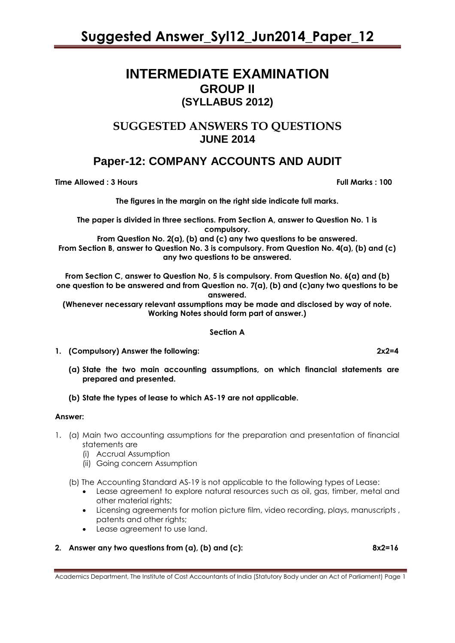### **INTERMEDIATE EXAMINATION GROUP II (SYLLABUS 2012)**

### **SUGGESTED ANSWERS TO QUESTIONS JUNE 2014**

### **Paper-12: COMPANY ACCOUNTS AND AUDIT**

**Time Allowed : 3 Hours Full Marks : 100**

**The figures in the margin on the right side indicate full marks.**

**The paper is divided in three sections. From Section A, answer to Question No. 1 is compulsory.**

**From Question No. 2(a), (b) and (c) any two questions to be answered. From Section B, answer to Question No. 3 is compulsory. From Question No. 4(a), (b) and (c) any two questions to be answered.**

**From Section C, answer to Question No, 5 is compulsory. From Question No. 6(a) and (b) one question to be answered and from Question no. 7(a), (b) and (c)any two questions to be answered.**

**(Whenever necessary relevant assumptions may be made and disclosed by way of note. Working Notes should form part of answer.)**

#### **Section A**

- **1. (Compulsory) Answer the following: 2x2=4**
	- **(a) State the two main accounting assumptions, on which financial statements are prepared and presented.**
	- **(b) State the types of lease to which AS-19 are not applicable.**

#### **Answer:**

- 1. (a) Main two accounting assumptions for the preparation and presentation of financial statements are
	- (i) Accrual Assumption
	- (ii) Going concern Assumption
	- (b) The Accounting Standard AS-19 is not applicable to the following types of Lease:
		- Lease agreement to explore natural resources such as oil, gas, timber, metal and other material rights;
		- Licensing agreements for motion picture film, video recording, plays, manuscripts , patents and other rights;
		- Lease agreement to use land.

### **2. Answer any two questions from (a), (b) and (c): 8x2=16**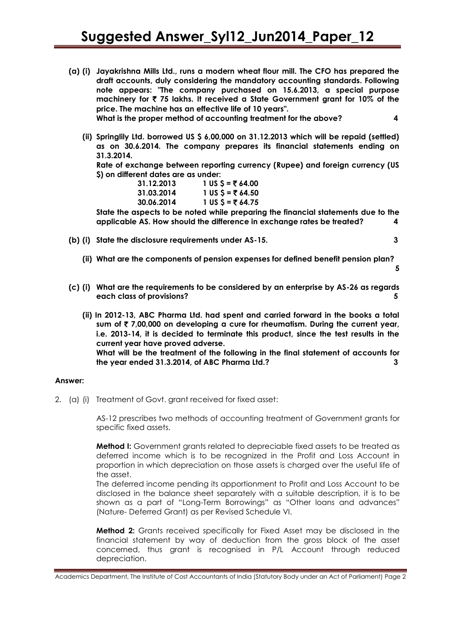**(a) (i) Jayakrishna Mills Ltd., runs a modern wheat flour mill. The CFO has prepared the draft accounts, duly considering the mandatory accounting standards. Following note appears: "The company purchased on 15.6.2013, a special purpose machinery for** ` **75 lakhs. It received a State Government grant for 10% of the price. The machine has an effective life of 10 years".**

**What is the proper method of accounting treatment for the above? 4**

**5**

**(ii) Springlily Ltd. borrowed US \$ 6,00,000 on 31.12.2013 which will be repaid (settled) as on 30.6.2014. The company prepares its financial statements ending on 31.3.2014.**

**Rate of exchange between reporting currency (Rupee) and foreign currency (US \$) on different dates are as under:**

| 31.12.2013 | 1 US $$ = ₹64.00$ |
|------------|-------------------|
| 31.03.2014 | 1 US $5 = 764.50$ |
| 30.06.2014 | 1 US $$ = 764.75$ |

**State the aspects to be noted while preparing the financial statements due to the applicable AS. How should the difference in exchange rates be treated? 4**

- **(b) (i) State the disclosure requirements under AS-15. 3**
	- **(ii) What are the components of pension expenses for defined benefit pension plan?**
- **(c) (i) What are the requirements to be considered by an enterprise by AS-26 as regards each class of provisions? 5**
	- **(ii) In 2012-13, ABC Pharma Ltd. had spent and carried forward in the books a total sum of** ` **7,00,000 on developing a cure for rheumatism. During the current year, i.e. 2013-14, it is decided to terminate this product, since the test results in the current year have proved adverse. What will be the treatment of the following in the final statement of accounts for the year ended 31.3.2014, of ABC Pharma Ltd.? 3**

#### **Answer:**

2. (a) (i) Treatment of Govt. grant received for fixed asset:

AS-12 prescribes two methods of accounting treatment of Government grants for specific fixed assets.

**Method I:** Government grants related to depreciable fixed assets to be treated as deferred income which is to be recognized in the Profit and Loss Account in proportion in which depreciation on those assets is charged over the useful life of the asset.

The deferred income pending its apportionment to Profit and Loss Account to be disclosed in the balance sheet separately with a suitable description, it is to be shown as a part of "Long-Term Borrowings" as "Other loans and advances" (Nature- Deferred Grant) as per Revised Schedule VI.

**Method 2:** Grants received specifically for Fixed Asset may be disclosed in the financial statement by way of deduction from the gross block of the asset concerned, thus grant is recognised in P/L Account through reduced depreciation.

Academics Department, The Institute of Cost Accountants of India (Statutory Body under an Act of Parliament) Page 2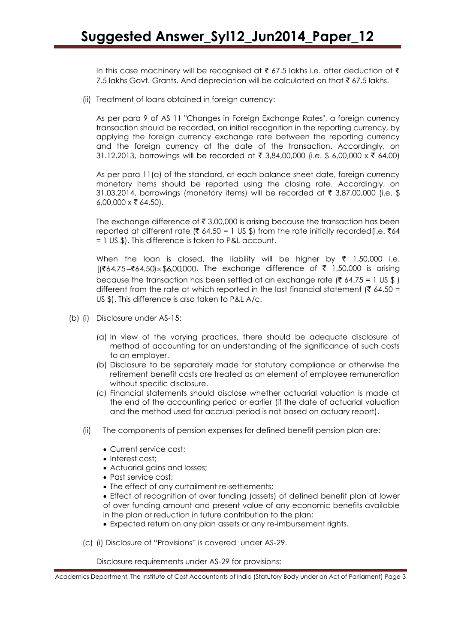In this case machinery will be recognised at  $\bar{\tau}$  67.5 lakhs i.e. after deduction of  $\bar{\tau}$ 7.5 lakhs Govt. Grants. And depreciation will be calculated on that  $\bar{\tau}$  67.5 lakhs.

(ii) Treatment of loans obtained in foreign currency:

As per para 9 of AS 11 "Changes in Foreign Exchange Rates", a foreign currency transaction should be recorded, on initial recognition in the reporting currency, by applying the foreign currency exchange rate between the reporting currency and the foreign currency at the date of the transaction. Accordingly, on 31.12.2013, borrowings will be recorded at  $\bar{\tau}$  3.84,00,000 (i.e. \$ 6,00,000 x  $\bar{\tau}$  64,00)

As per para 11(a) of the standard, at each balance sheet date, foreign currency monetary items should be reported using the closing rate. Accordingly, on 31.03.2014, borrowings (monetary items) will be recorded at  $\bar{\tau}$  3,87,00,000 (i.e. \$ 6,00,000  $\times \overline{\mathcal{F}}$  64.50).

The exchange difference of  $\bar{\tau}$  3,00,000 is arising because the transaction has been reported at different rate ( $\bar{\xi}$  64.50 = 1 US \$) from the rate initially recorded(i.e.  $\bar{\xi}$ 64 = 1 US \$). This difference is taken to P&L account.

When the loan is closed, the liability will be higher by  $\bar{\tau}$  1,50,000 i.e.  $[(\overline{\xi}64.75 - \overline{\xi}64.50) \times \xi6,00,000]$ . The exchange difference of  $\overline{\xi}$  1,50,000 is arising because the transaction has been settled at an exchange rate ( $\bar{\tau}$  64.75 = 1 US \$) different from the rate at which reported in the last financial statement ( $\bar{\tau}$  64.50 = US \$). This difference is also taken to P&L A/c.

- (b) (i) Disclosure under AS-15:
	- (a) In view of the varying practices, there should be adequate disclosure of method of accounting for an understanding of the significance of such costs to an employer.
	- (b) Disclosure to be separately made for statutory compliance or otherwise the retirement benefit costs are treated as an element of employee remuneration without specific disclosure.
	- (c) Financial statements should disclose whether actuarial valuation is made at the end of the accounting period or earlier (if the date of actuarial valuation and the method used for accrual period is not based on actuary report).
	- (ii) The components of pension expenses for defined benefit pension plan are:
		- Current service cost;
		- Interest cost:
		- Actuarial gains and losses;
		- Past service cost;
		- The effect of any curtailment re-settlements;

 Effect of recognition of over funding (assets) of defined benefit plan at lower of over funding amount and present value of any economic benefits available in the plan or reduction in future contribution to the plan;

- Expected return on any plan assets or any re-imbursement rights.
- (c) (i) Disclosure of "Provisions" is covered under AS-29.

Disclosure requirements under AS-29 for provisions:

Academics Department, The Institute of Cost Accountants of India (Statutory Body under an Act of Parliament) Page 3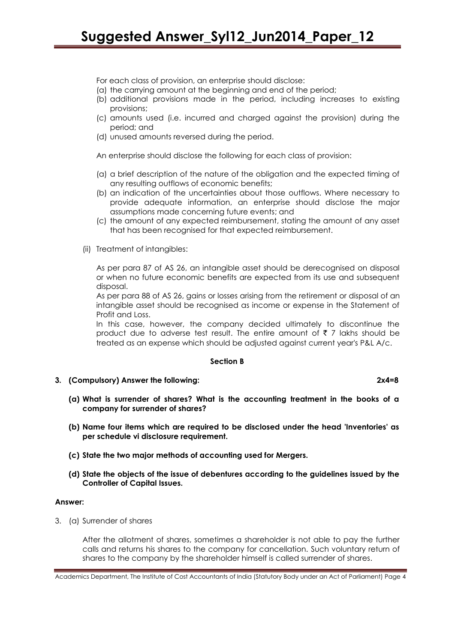For each class of provision, an enterprise should disclose:

- (a) the carrying amount at the beginning and end of the period;
- (b) additional provisions made in the period, including increases to existing provisions;
- (c) amounts used (i.e. incurred and charged against the provision) during the period; and
- (d) unused amounts reversed during the period.

An enterprise should disclose the following for each class of provision:

- (a) a brief description of the nature of the obligation and the expected timing of any resulting outflows of economic benefits;
- (b) an indication of the uncertainties about those outflows. Where necessary to provide adequate information, an enterprise should disclose the major assumptions made concerning future events; and
- (c) the amount of any expected reimbursement, stating the amount of any asset that has been recognised for that expected reimbursement.
- (ii) Treatment of intangibles:

As per para 87 of AS 26, an intangible asset should be derecognised on disposal or when no future economic benefits are expected from its use and subsequent disposal.

As per para 88 of AS 26, gains or losses arising from the retirement or disposal of an intangible asset should be recognised as income or expense in the Statement of Profit and Loss.

In this case, however, the company decided ultimately to discontinue the product due to adverse test result. The entire amount of  $\bar{\tau}$  7 lakhs should be treated as an expense which should be adjusted against current year's P&L A/c.

#### **Section B**

**3. (Compulsory) Answer the following: 2x4=8**

- **(a) What is surrender of shares? What is the accounting treatment in the books of a company for surrender of shares?**
- **(b) Name four items which are required to be disclosed under the head 'Inventories' as per schedule vi disclosure requirement.**
- **(c) State the two major methods of accounting used for Mergers.**
- **(d) State the objects of the issue of debentures according to the guidelines issued by the Controller of Capital Issues.**

#### **Answer:**

3. (a) Surrender of shares

After the allotment of shares, sometimes a shareholder is not able to pay the further calls and returns his shares to the company for cancellation. Such voluntary return of shares to the company by the shareholder himself is called surrender of shares.

Academics Department, The Institute of Cost Accountants of India (Statutory Body under an Act of Parliament) Page 4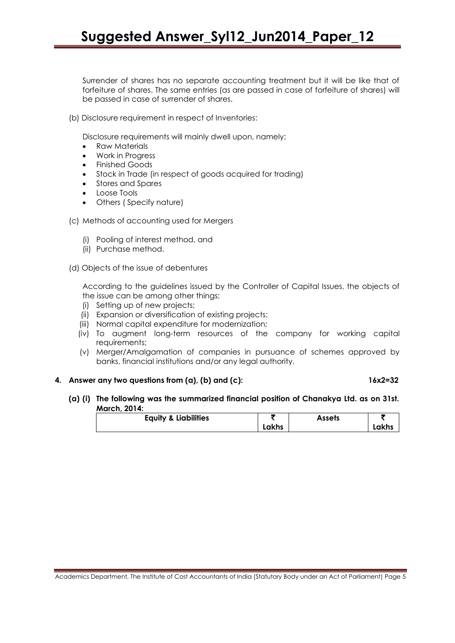Surrender of shares has no separate accounting treatment but it will be like that of forfeiture of shares. The same entries (as are passed in case of forfeiture of shares) will be passed in case of surrender of shares.

(b) Disclosure requirement in respect of Inventories:

Disclosure requirements will mainly dwell upon, namely:

- Raw Materials
- Work in Progress
- **•** Finished Goods
- Stock in Trade (in respect of goods acquired for trading)
- Stores and Spares
- Loose Tools
- Others ( Specify nature)
- (c) Methods of accounting used for Mergers
	- (i) Pooling of interest method, and
	- (ii) Purchase method.
- (d) Objects of the issue of debentures

According to the guidelines issued by the Controller of Capital Issues, the objects of the issue can be among other things:

- (i) Setting up of new projects;
- (ii) Expansion or diversification of existing projects;
- (iii) Normal capital expenditure for modernization;
- (iv) To augment long-term resources of the company for working capital requirements;
- (v) Merger/Amalgamation of companies in pursuance of schemes approved by banks, financial institutions and/or any legal authority.

#### **4. Answer any two questions from (a), (b) and (c): 16x2=32**

**(a) (i) The following was the summarized financial position of Chanakya Ltd. as on 31st. March, 2014:**

| <b>Equity &amp; Liabilities</b> |       | Assets |  |
|---------------------------------|-------|--------|--|
|                                 | Lakhs |        |  |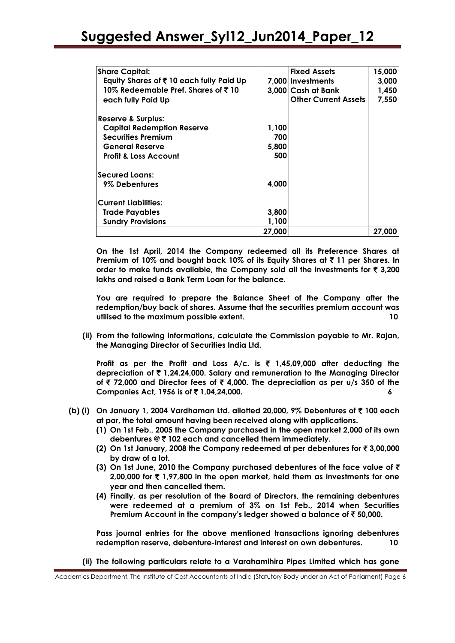| <b>Share Capital:</b>                                  |        | <b>Fixed Assets</b>         | 15,000 |
|--------------------------------------------------------|--------|-----------------------------|--------|
| Equity Shares of ₹10 each fully Paid Up                |        | 7.000 Investments           | 3,000  |
| 10% Redeemable Pref. Shares of $\bar{\mathfrak{c}}$ 10 |        | 3.000 Cash at Bank          | 1,450  |
| each fully Paid Up                                     |        | <b>Other Current Assets</b> | 7,550  |
| <b>Reserve &amp; Surplus:</b>                          |        |                             |        |
| <b>Capital Redemption Reserve</b>                      | 1.100  |                             |        |
| <b>Securities Premium</b>                              | 700    |                             |        |
| <b>General Reserve</b>                                 | 5,800  |                             |        |
| <b>Profit &amp; Loss Account</b>                       | 500    |                             |        |
| <b>Secured Loans:</b>                                  |        |                             |        |
| 9% Debentures                                          | 4,000  |                             |        |
| <b>Current Liabilities:</b>                            |        |                             |        |
| <b>Trade Payables</b>                                  | 3,800  |                             |        |
| <b>Sundry Provisions</b>                               | 1,100  |                             |        |
|                                                        | 27,000 |                             | 27,000 |

**On the 1st April, 2014 the Company redeemed all its Preference Shares at**  Premium of 10% and bought back 10% of its Equity Shares at ₹ 11 per Shares. In **order to make funds available, the Company sold all the investments for** ` **3,200 lakhs and raised a Bank Term Loan for the balance.**

**You are required to prepare the Balance Sheet of the Company after the redemption/buy back of shares. Assume that the securities premium account was utilised to the maximum possible extent. 10**

**(ii) From the following informations, calculate the Commission payable to Mr. Rajan, the Managing Director of Securities India Ltd.**

**Profit as per the Profit and Loss A/c. is** ` **1,45,09,000 after deducting the depreciation of** ` **1,24,24,000. Salary and remuneration to the Managing Director of** ` **72,000 and Director fees of** ` **4,000. The depreciation as per u/s 350 of the Companies Act, 1956 is of** ` **1,04,24,000. 6**

- **(b) (i) On January 1, 2004 Vardhaman Ltd. allotted 20,000, 9% Debentures of** ` **100 each at par, the total amount having been received along with applications.**
	- **(1) On 1st Feb., 2005 the Company purchased in the open market 2,000 of its own debentures @** ` **102 each and cancelled them immediately.**
	- **(2) On 1st January, 2008 the Company redeemed at per debentures for** ` **3,00,000 by draw of a lot.**
	- **(3) On 1st June, 2010 the Company purchased debentures of the face value of** ` **2,00,000 for** ` **1,97,800 in the open market, held them as investments for one year and then cancelled them.**
	- **(4) Finally, as per resolution of the Board of Directors, the remaining debentures were redeemed at a premium of 3% on 1st Feb., 2014 when Securities Premium Account in the company's ledger showed a balance of** ` **50,000.**

**Pass journal entries for the above mentioned transactions ignoring debentures redemption reserve, debenture-interest and interest on own debentures. 10**

**(ii) The following particulars relate to a Varahamihira Pipes Limited which has gone** 

Academics Department, The Institute of Cost Accountants of India (Statutory Body under an Act of Parliament) Page 6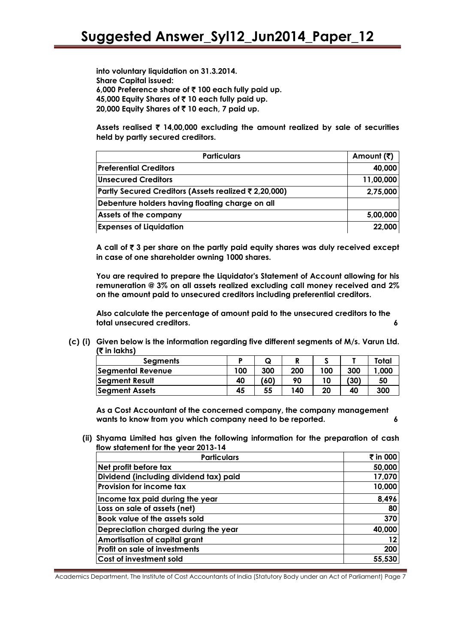**into voluntary liquidation on 31.3.2014. Share Capital issued: 6,000 Preference share of** ` **100 each fully paid up. 45,000 Equity Shares of** ` **10 each fully paid up. 20,000 Equity Shares of** ` **10 each, 7 paid up.**

**Assets realised** ` **14,00,000 excluding the amount realized by sale of securities held by partly secured creditors.**

| <b>Particulars</b>                                   | Amount (₹) |
|------------------------------------------------------|------------|
| <b>Preferential Creditors</b>                        | 40,000     |
| <b>Unsecured Creditors</b>                           | 11,00,000  |
| Partly Secured Creditors (Assets realized ₹2,20,000) | 2,75,000   |
| Debenture holders having floating charge on all      |            |
| Assets of the company                                | 5,00,000   |
| <b>Expenses of Liquidation</b>                       | 22,000     |

**A call of** ` **3 per share on the partly paid equity shares was duly received except in case of one shareholder owning 1000 shares.**

**You are required to prepare the Liquidator's Statement of Account allowing for his remuneration @ 3% on all assets realized excluding call money received and 2% on the amount paid to unsecured creditors including preferential creditors.**

**Also calculate the percentage of amount paid to the unsecured creditors to the total unsecured creditors. 6**

**(c) (i) Given below is the information regarding five different segments of M/s. Varun Ltd. (**` **in lakhs)**

| <b>Segments</b>       |     | Q    |     |     |      | Total |
|-----------------------|-----|------|-----|-----|------|-------|
| Segmental Revenue     | 100 | 300  | 200 | 100 | 300  | 1,000 |
| Segment Result        | 40  | (60) | 90  | 10  | (30) | 50    |
| <b>Segment Assets</b> | 45  | 55   | 140 | 20  | 40   | 300   |

**As a Cost Accountant of the concerned company, the company management wants to know from you which company need to be reported. 6**

**(ii) Shyama Limited has given the following information for the preparation of cash flow statement for the year 2013-14**

| <b>Particulars</b>                     | ₹ in 000 |
|----------------------------------------|----------|
| Net profit before tax                  | 50,000   |
| Dividend (including dividend tax) paid | 17,070   |
| <b>Provision for income tax</b>        | 10,000   |
| Income tax paid during the year        | 8,496    |
| Loss on sale of assets (net)           | 80       |
| <b>Book value of the assets sold</b>   | 370      |
| Depreciation charged during the year   | 40,000   |
| Amortisation of capital grant          | 12       |
| <b>Profit on sale of investments</b>   | 200      |
| Cost of investment sold                | 55,530   |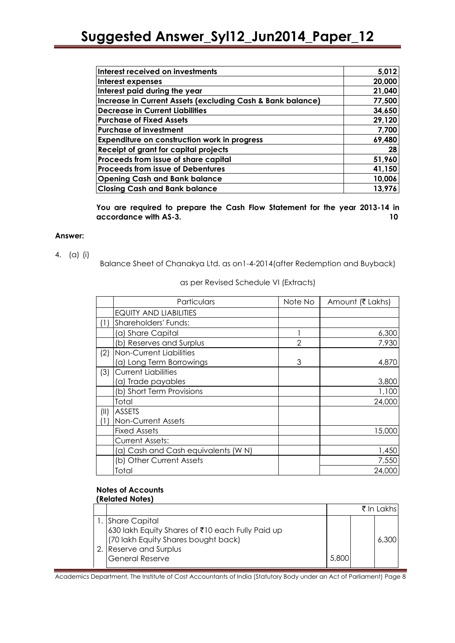| Interest received on investments                           | 5,012  |
|------------------------------------------------------------|--------|
| Interest expenses                                          | 20,000 |
| Interest paid during the year                              | 21,040 |
| Increase in Current Assets (excluding Cash & Bank balance) | 77,500 |
| <b>Decrease in Current Liabilities</b>                     | 34,650 |
| <b>Purchase of Fixed Assets</b>                            | 29,120 |
| <b>Purchase of investment</b>                              | 7,700  |
| Expenditure on construction work in progress               | 69,480 |
| Receipt of grant for capital projects                      | 28     |
| Proceeds from issue of share capital                       | 51,960 |
| <b>Proceeds from issue of Debentures</b>                   | 41,150 |
| <b>Opening Cash and Bank balance</b>                       | 10,006 |
| <b>Closing Cash and Bank balance</b>                       | 13,976 |

**You are required to prepare the Cash Flow Statement for the year 2013-14 in accordance with AS-3. 10**

#### **Answer:**

#### 4. (a) (i)

Balance Sheet of Chanakya Ltd. as on1-4-2014(after Redemption and Buyback)

|      | Particulars                         | Note No        | Amount (₹ Lakhs) |
|------|-------------------------------------|----------------|------------------|
|      | <b>EQUITY AND LIABILITIES</b>       |                |                  |
| (1)  | Shareholders' Funds:                |                |                  |
|      | (a) Share Capital                   |                | 6,300            |
|      | (b) Reserves and Surplus            | $\overline{2}$ | 7,930            |
| (2)  | Non-Current Liabilities             |                |                  |
|      | (a) Long Term Borrowings            | 3              | 4,870            |
| (3)  | <b>Current Liabilities</b>          |                |                  |
|      | (a) Trade payables                  |                | 3,800            |
|      | (b) Short Term Provisions           |                | 1,100            |
|      | Total                               |                | 24,000           |
| (11) | ASSETS                              |                |                  |
|      | Non-Current Assets                  |                |                  |
|      | Fixed Assets                        |                | 15,000           |
|      | Current Assets:                     |                |                  |
|      | (a) Cash and Cash equivalents (W N) |                | 1,450            |
|      | (b) Other Current Assets            |                | 7,550            |
|      | Total                               |                | 24,000           |

as per Revised Schedule VI (Extracts)

#### **Notes of Accounts (Related Notes)**

|                                                                                                                                                               |       | ₹ In Lakhsi |
|---------------------------------------------------------------------------------------------------------------------------------------------------------------|-------|-------------|
| I. Share Capital<br>1630 lakh Equity Shares of ₹10 each Fully Paid up<br>(70 lakh Equity Shares bought back)<br>Reserve and Surplus<br><b>General Reserve</b> | 5,800 | 6,300       |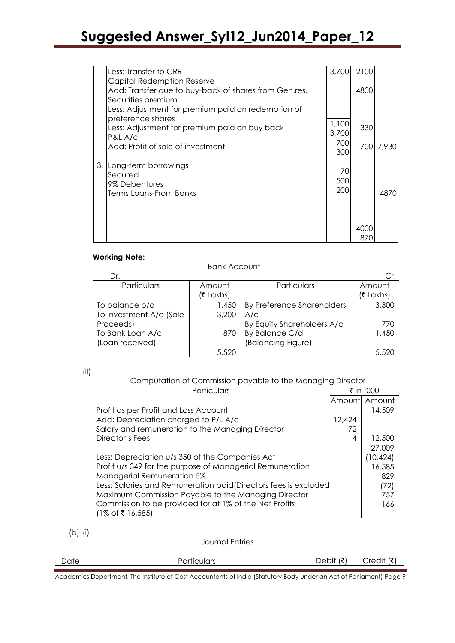|      | Less: Transfer to CRR                                                                                     | 3,700          | 2100 |           |
|------|-----------------------------------------------------------------------------------------------------------|----------------|------|-----------|
|      | Capital Redemption Reserve<br>Add: Transfer due to buy-back of shares from Gen.res.<br>Securities premium |                | 4800 |           |
|      | Less: Adjustment for premium paid on redemption of                                                        |                |      |           |
|      | preference shares<br>Less: Adjustment for premium paid on buy back<br>P&L A/c                             | 1,100<br>3,700 | 330  |           |
|      | Add: Profit of sale of investment                                                                         | 700<br>300     |      | 700 7,930 |
| 3. I | Long-term borrowings<br>Secured                                                                           | 70             |      |           |
|      | 9% Debentures<br>Terms Loans-From Banks                                                                   | 500<br>200     |      | 4870      |
|      |                                                                                                           |                |      |           |
|      |                                                                                                           |                | 4000 |           |
|      |                                                                                                           |                | 870  |           |

#### **Working Note:**

Bank Account

| Dr.                     |           |                            | Cr.       |
|-------------------------|-----------|----------------------------|-----------|
| Particulars             | Amount    | Particulars                | Amount    |
|                         | (₹ Lakhs) |                            | (₹ Lakhs) |
| To balance b/d          | 1,450     | By Preference Shareholders | 3,300     |
| To Investment A/c (Sale | 3,200     | A/C                        |           |
| Proceeds)               |           | By Equity Shareholders A/c | 770       |
| To Bank Loan A/c        | 870       | By Balance C/d             | 1,450     |
| (Loan received)         |           | (Balancing Figure)         |           |
|                         | 5,520     |                            | 5,520     |

#### Computation of Commission payable to the Managing Director

| Particulars                                                      | ₹ in '000 |                 |
|------------------------------------------------------------------|-----------|-----------------|
|                                                                  |           | lAmountl Amount |
| Profit as per Profit and Loss Account                            |           | 14,509          |
| Add: Depreciation charged to P/L A/c                             | 12.424    |                 |
| Salary and remuneration to the Managing Director                 | 72        |                 |
| Director's Fees                                                  | 4         | 12,500          |
|                                                                  |           | 27,009          |
| Less: Depreciation u/s 350 of the Companies Act                  |           | (10, 424)       |
| Profit u/s 349 for the purpose of Managerial Remuneration        |           | 16,585          |
| Managerial Remuneration 5%                                       |           | 829             |
| Less: Salaries and Remuneration paid (Directors fees is excluded |           | (72)            |
| Maximum Commission Payable to the Managing Director              |           | 757             |
| Commission to be provided for at 1% of the Net Profits           |           | 166             |
| $(1\% \text{ of } ₹ 16,585)$                                     |           |                 |

#### (b) (i)

#### Journal Entries

| c<br>1 L | . | $-$ | $\sim$ |
|----------|---|-----|--------|
|          |   |     |        |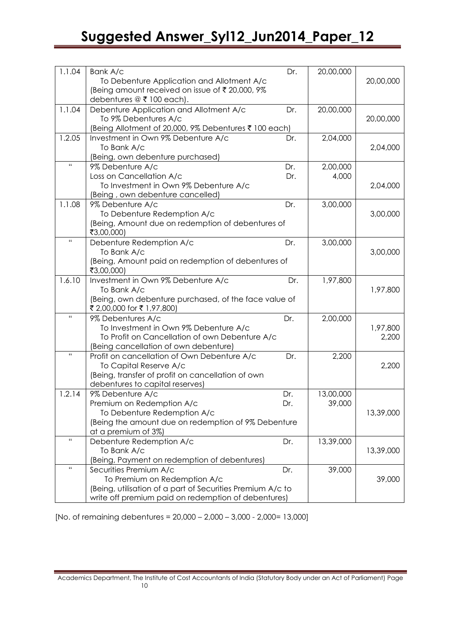| 1.1.04             | Bank A/c                                                                         | Dr. | 20,00,000 |           |
|--------------------|----------------------------------------------------------------------------------|-----|-----------|-----------|
|                    | To Debenture Application and Allotment A/c                                       |     |           | 20,00,000 |
|                    | (Being amount received on issue of ₹20,000, 9%                                   |     |           |           |
|                    | debentures $@$ ₹ 100 each).                                                      |     |           |           |
| 1.1.04             | Debenture Application and Allotment A/c                                          | Dr. | 20,00,000 |           |
|                    | To 9% Debentures A/c                                                             |     |           | 20,00,000 |
|                    | (Being Allotment of 20,000, 9% Debentures ₹ 100 each)                            |     |           |           |
| 1.2.05             | Investment in Own 9% Debenture A/c                                               | Dr. | 2,04,000  |           |
|                    | To Bank A/c                                                                      |     |           | 2,04,000  |
| $\mathbf{H}$       | (Being, own debenture purchased)                                                 |     |           |           |
|                    | 9% Debenture A/c                                                                 | Dr. | 2,00,000  |           |
|                    | Loss on Cancellation A/c                                                         | Dr. | 4,000     |           |
|                    | To Investment in Own 9% Debenture A/c                                            |     |           | 2,04,000  |
| 1.1.08             | (Being, own debenture cancelled)                                                 | Dr. |           |           |
|                    | 9% Debenture A/c                                                                 |     | 3,00,000  |           |
|                    | To Debenture Redemption A/c<br>(Being, Amount due on redemption of debentures of |     |           | 3,00,000  |
|                    | ₹3,00,000)                                                                       |     |           |           |
| $\mathbf{G}$       | Debenture Redemption A/c                                                         | Dr. | 3,00,000  |           |
|                    | To Bank A/c                                                                      |     |           | 3,00,000  |
|                    | (Being, Amount paid on redemption of debentures of                               |     |           |           |
|                    | ₹3,00,000)                                                                       |     |           |           |
| 1.6.10             | Investment in Own 9% Debenture A/c                                               | Dr. | 1,97,800  |           |
|                    | To Bank A/c                                                                      |     |           | 1,97,800  |
|                    | (Being, own debenture purchased, of the face value of                            |     |           |           |
|                    | ₹ 2,00,000 for ₹ 1,97,800)                                                       |     |           |           |
| $\bar{\mathbf{H}}$ | 9% Debentures A/c                                                                | Dr. | 2,00,000  |           |
|                    | To Investment in Own 9% Debenture A/c                                            |     |           | 1,97,800  |
|                    | To Profit on Cancellation of own Debenture A/c                                   |     |           | 2,200     |
|                    | (Being cancellation of own debenture)                                            |     |           |           |
| Ĥ.                 | Profit on cancellation of Own Debenture A/c                                      | Dr. | 2,200     |           |
|                    | To Capital Reserve A/c                                                           |     |           | 2,200     |
|                    | (Being, transfer of profit on cancellation of own                                |     |           |           |
|                    | debentures to capital reserves)                                                  |     |           |           |
| 1.2.14             | 9% Debenture A/c                                                                 | Dr. | 13,00,000 |           |
|                    | Premium on Redemption A/c                                                        | Dr. | 39,000    |           |
|                    | To Debenture Redemption A/c                                                      |     |           | 13,39,000 |
|                    | (Being the amount due on redemption of 9% Debenture                              |     |           |           |
|                    | at a premium of 3%)                                                              |     |           |           |
| Ħ                  | Debenture Redemption A/c                                                         | Dr. | 13,39,000 |           |
|                    | To Bank A/c                                                                      |     |           | 13,39,000 |
|                    | (Being, Payment on redemption of debentures)                                     |     |           |           |
| $\mathbf{H}$       | Securities Premium A/c                                                           | Dr. | 39,000    |           |
|                    | To Premium on Redemption A/c                                                     |     |           | 39,000    |
|                    | (Being, utilisation of a part of Securities Premium A/c to                       |     |           |           |
|                    | write off premium paid on redemption of debentures)                              |     |           |           |

[No. of remaining debentures = 20,000 – 2,000 – 3,000 - 2,000= 13,000]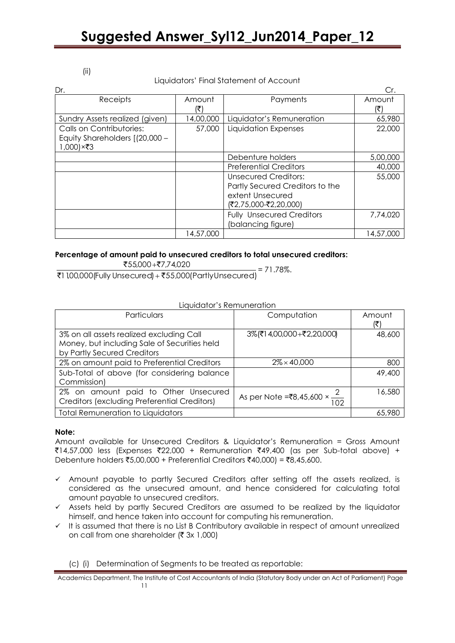#### (ii)

#### Liquidators" Final Statement of Account

| Dr.                                                                     |           |                                                                                                             | Cr.       |
|-------------------------------------------------------------------------|-----------|-------------------------------------------------------------------------------------------------------------|-----------|
| Receipts                                                                | Amount    | Payments                                                                                                    | Amount    |
|                                                                         | Ι₹        |                                                                                                             | (₹)       |
| Sundry Assets realized (given)                                          | 14,00,000 | Liquidator's Remuneration                                                                                   | 65,980    |
| Calls on Contributories:<br>Equity Shareholders [(20,000 -<br>1,000)×₹3 | 57,000    | Liquidation Expenses                                                                                        | 22,000    |
|                                                                         |           | Debenture holders                                                                                           | 5,00,000  |
|                                                                         |           | <b>Preferential Creditors</b>                                                                               | 40,000    |
|                                                                         |           | <b>Unsecured Creditors:</b><br>Partly Secured Creditors to the<br>extent Unsecured<br>(₹2,75,000-₹2,20,000) | 55,000    |
|                                                                         |           | <b>Fully Unsecured Creditors</b><br>(balancing figure)                                                      | 7,74,020  |
|                                                                         | 14,57,000 |                                                                                                             | 14,57,000 |

#### **Percentage of amount paid to unsecured creditors to total unsecured creditors:**

₹55,000+₹7,74,020

₹1 1,00,000(Fully Unsecured) + ₹55,000(PartlyUnsecured)  $= 71.78\%$ .

#### Liquidator"s Remuneration

| <b>Particulars</b>                           | Computation                                   | Amount |
|----------------------------------------------|-----------------------------------------------|--------|
|                                              |                                               | (₹     |
| 3% on all assets realized excluding Call     | 3% (₹14,00,000+₹2,20,000)                     | 48,600 |
| Money, but including Sale of Securities held |                                               |        |
| by Partly Secured Creditors                  |                                               |        |
| 2% on amount paid to Preferential Creditors  | $2\% \times 40,000$                           | 800    |
| Sub-Total of above (for considering balance  |                                               | 49,400 |
| Commission)                                  |                                               |        |
| 2% on amount paid to Other Unsecured         |                                               | 16,580 |
| Creditors (excluding Preferential Creditors) | As per Note =₹8,45,600 $\times \frac{2}{102}$ |        |
| <b>Total Remuneration to Liquidators</b>     |                                               | 65,980 |

#### **Note:**

Amount available for Unsecured Creditors & Liquidator"s Remuneration = Gross Amount  $\bar{z}14,57,000$  less (Expenses  $\bar{z}22,000$  + Remuneration  $\bar{z}49,400$  (as per Sub-total above) + Debenture holders ₹5,00,000 + Preferential Creditors ₹40,000) = ₹8,45,600.

- $\checkmark$  Amount payable to partly Secured Creditors after setting off the assets realized, is considered as the unsecured amount, and hence considered for calculating total amount payable to unsecured creditors.
- $\checkmark$  Assets held by partly Secured Creditors are assumed to be realized by the liquidator himself, and hence taken into account for computing his remuneration.
- $\checkmark$  It is assumed that there is no List B Contributory available in respect of amount unrealized on call from one shareholder ( $\bar{\tau}$  3x 1,000)

(c) (i) Determination of Segments to be treated as reportable:

Academics Department, The Institute of Cost Accountants of India (Statutory Body under an Act of Parliament) Page 11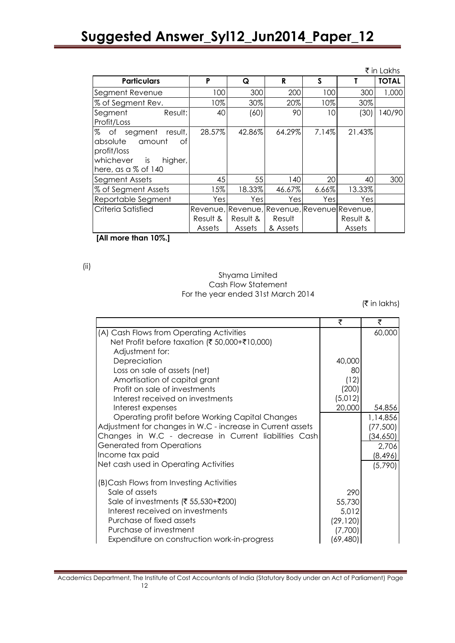|                                                                                                                            |                    |                    |                    |       |                                                                   | ₹ in Lakhs   |
|----------------------------------------------------------------------------------------------------------------------------|--------------------|--------------------|--------------------|-------|-------------------------------------------------------------------|--------------|
| <b>Particulars</b>                                                                                                         | P                  | Q                  | R                  | S     |                                                                   | <b>TOTAL</b> |
| Segment Revenue                                                                                                            | 100                | 300                | 200                | 100   | 300                                                               | 1,000        |
| % of Segment Rev.                                                                                                          | 10%                | 30%                | 20%                | 10%   | 30%                                                               |              |
| Segment<br>Result:<br>Profit/Loss                                                                                          | 40                 | (60)               | 90                 | 10    | (30)                                                              | 140/90       |
| % of segment<br>result,<br>absolute<br>amount<br>оf<br>profit/loss<br>whichever<br>is<br>higher,<br>here, as a $\%$ of 140 | 28.57%             | 42.86%             | 64.29%             | 7.14% | 21.43%                                                            |              |
| Segment Assets                                                                                                             | 45                 | 55                 | 140                | 20    | 40                                                                | 300          |
| % of Segment Assets                                                                                                        | 15%                | 18.33%             | 46.67%             | 6.66% | 13.33%                                                            |              |
| Reportable Segment                                                                                                         | Yes                | Yes                | Yesl               | Yes   | Yes                                                               |              |
| Criteria Satisfied                                                                                                         | Result &<br>Assets | Result &<br>Assets | Result<br>& Assets |       | Revenue, Revenue, Revenue, Revenue Revenue,<br>Result &<br>Assets |              |

**[All more than 10%.]**

(ii)

#### Shyama Limited Cash Flow Statement For the year ended 31st March 2014

 $($ ₹ in lakhs)

|                                                            | ₹         | ₹        |
|------------------------------------------------------------|-----------|----------|
| (A) Cash Flows from Operating Activities                   |           | 60,000   |
| Net Profit before taxation (₹ 50,000+₹10,000)              |           |          |
| Adjustment for:                                            |           |          |
| Depreciation                                               | 40,000    |          |
| Loss on sale of assets (net)                               | 80        |          |
| Amortisation of capital grant                              | (12)      |          |
| Profit on sale of investments                              | (200)     |          |
| Interest received on investments                           | (5,012)   |          |
| Interest expenses                                          | 20,000    | 54,856   |
| Operating profit before Working Capital Changes            |           | 1,14,856 |
| Adjustment for changes in W.C - increase in Current assets |           | (77,500) |
| Changes in W.C - decrease in Current liabilities Cash      |           | (34,650) |
| <b>Generated from Operations</b>                           |           | 2,706    |
| Income tax paid                                            |           | (8,496)  |
| Net cash used in Operating Activities                      |           | (5,790)  |
| (B) Cash Flows from Investing Activities                   |           |          |
| Sale of assets                                             | 290       |          |
| Sale of investments (₹ 55,530+₹200)                        | 55,730    |          |
| Interest received on investments                           | 5,012     |          |
| Purchase of fixed assets                                   | (29, 120) |          |
| Purchase of investment                                     | (7,700)   |          |
| Expenditure on construction work-in-progress               | (69, 480) |          |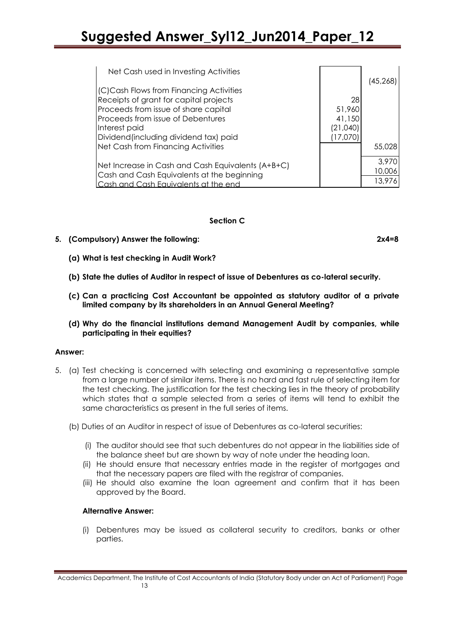| Net Cash used in Investing Activities             |          |          |
|---------------------------------------------------|----------|----------|
| (C) Cash Flows from Financing Activities          |          | (45,268) |
| Receipts of grant for capital projects            | 28       |          |
| Proceeds from issue of share capital              | 51,960   |          |
| Proceeds from issue of Debentures                 | 41,150   |          |
| Interest paid                                     | (21,040) |          |
| Dividend (including dividend tax) paid            | (17,070  |          |
| Net Cash from Financing Activities                |          | 55,028   |
| Net Increase in Cash and Cash Equivalents (A+B+C) |          | 3,970    |
| Cash and Cash Equivalents at the beginning        |          | 10,006   |
| ash and Cash Eauivalents at the end               |          | 13,976   |

#### **Section C**

- **5. (Compulsory) Answer the following: 2x4=8**
	- **(a) What is test checking in Audit Work?**
	- **(b) State the duties of Auditor in respect of issue of Debentures as co-lateral security.**
	- **(c) Can a practicing Cost Accountant be appointed as statutory auditor of a private limited company by its shareholders in an Annual General Meeting?**
	- **(d) Why do the financial institutions demand Management Audit by companies, while participating in their equities?**

#### **Answer:**

- 5. (a) Test checking is concerned with selecting and examining a representative sample from a large number of similar items. There is no hard and fast rule of selecting item for the test checking. The justification for the test checking lies in the theory of probability which states that a sample selected from a series of items will tend to exhibit the same characteristics as present in the full series of items.
	- (b) Duties of an Auditor in respect of issue of Debentures as co-lateral securities:
		- (i) The auditor should see that such debentures do not appear in the liabilities side of the balance sheet but are shown by way of note under the heading loan.
		- (ii) He should ensure that necessary entries made in the register of mortgages and that the necessary papers are filed with the registrar of companies.
		- (iii) He should also examine the loan agreement and confirm that it has been approved by the Board.

#### **Alternative Answer:**

(i) Debentures may be issued as collateral security to creditors, banks or other parties.

Academics Department, The Institute of Cost Accountants of India (Statutory Body under an Act of Parliament) Page 13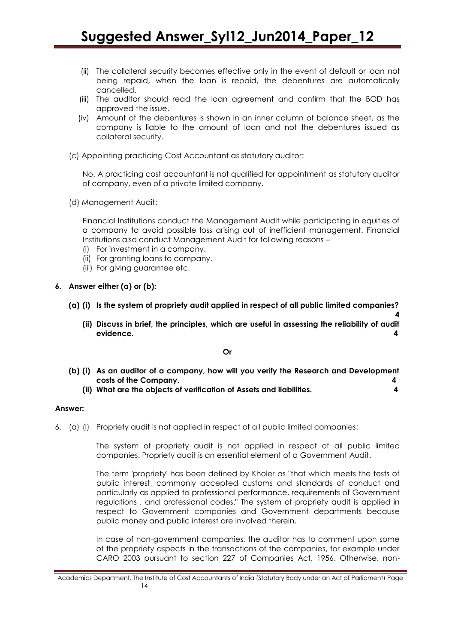- (ii) The collateral security becomes effective only in the event of default or loan not being repaid, when the loan is repaid, the debentures are automatically cancelled.
- (iii) The auditor should read the loan agreement and confirm that the BOD has approved the issue.
- (iv) Amount of the debentures is shown in an inner column of balance sheet, as the company is liable to the amount of loan and not the debentures issued as collateral security.
- (c) Appointing practicing Cost Accountant as statutory auditor:

No. A practicing cost accountant is not qualified for appointment as statutory auditor of company, even of a private limited company.

(d) Management Audit:

Financial Institutions conduct the Management Audit while participating in equities of a company to avoid possible loss arising out of inefficient management. Financial Institutions also conduct Management Audit for following reasons –

- (i) For investment in a company.
- (ii) For granting loans to company.
- (iii) For giving guarantee etc.
- **6. Answer either (a) or (b):**
	- **(a) (i) Is the system of propriety audit applied in respect of all public limited companies?**
		- **4 (ii) Discuss in brief, the principles, which are useful in assessing the reliability of audit evidence. 4**

**Or**

- **(b) (i) As an auditor of a company, how will you verify the Research and Development costs of the Company. 4**
	- **(ii) What are the objects of verification of Assets and liabilities. 4**

#### **Answer:**

6. (a) (i) Propriety audit is not applied in respect of all public limited companies:

The system of propriety audit is not applied in respect of all public limited companies. Propriety audit is an essential element of a Government Audit.

The term 'propriety' has been defined by Kholer as "that which meets the tests of public interest, commonly accepted customs and standards of conduct and particularly as applied to professional performance, requirements of Government regulations , and professional codes." The system of propriety audit is applied in respect to Government companies and Government departments because public money and public interest are involved therein.

In case of non-government companies, the auditor has to comment upon some of the propriety aspects in the transactions of the companies, for example under CARO 2003 pursuant to section 227 of Companies Act, 1956. Otherwise, non-

Academics Department, The Institute of Cost Accountants of India (Statutory Body under an Act of Parliament) Page 14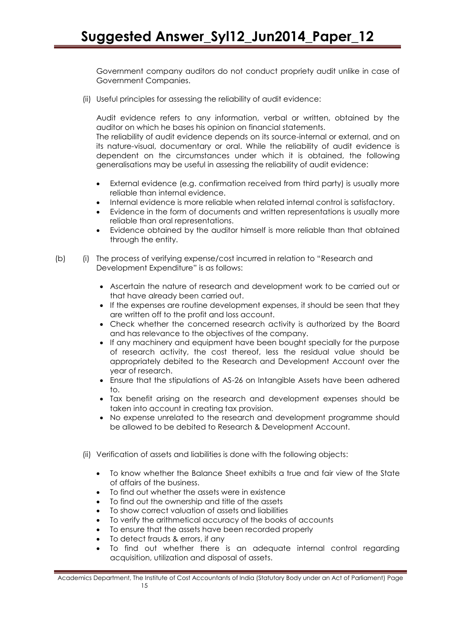Government company auditors do not conduct propriety audit unlike in case of Government Companies.

(ii) Useful principles for assessing the reliability of audit evidence:

Audit evidence refers to any information, verbal or written, obtained by the auditor on which he bases his opinion on financial statements.

The reliability of audit evidence depends on its source-internal or external, and on its nature-visual, documentary or oral. While the reliability of audit evidence is dependent on the circumstances under which it is obtained, the following generalisations may be useful in assessing the reliability of audit evidence:

- External evidence (e.g. confirmation received from third party) is usually more reliable than internal evidence.
- Internal evidence is more reliable when related internal control is satisfactory.
- Evidence in the form of documents and written representations is usually more reliable than oral representations.
- Evidence obtained by the auditor himself is more reliable than that obtained through the entity.
- (b) (i) The process of verifying expense/cost incurred in relation to "Research and Development Expenditure" is as follows:
	- Ascertain the nature of research and development work to be carried out or that have already been carried out.
	- If the expenses are routine development expenses, it should be seen that they are written off to the profit and loss account.
	- Check whether the concerned research activity is authorized by the Board and has relevance to the objectives of the company.
	- If any machinery and equipment have been bought specially for the purpose of research activity, the cost thereof, less the residual value should be appropriately debited to the Research and Development Account over the year of research.
	- Ensure that the stipulations of AS-26 on Intangible Assets have been adhered to.
	- Tax benefit arising on the research and development expenses should be taken into account in creating tax provision.
	- No expense unrelated to the research and development programme should be allowed to be debited to Research & Development Account.
	- (ii) Verification of assets and liabilities is done with the following objects:
		- To know whether the Balance Sheet exhibits a true and fair view of the State of affairs of the business.
		- To find out whether the assets were in existence
		- To find out the ownership and title of the assets
		- To show correct valuation of assets and liabilities
		- To verify the arithmetical accuracy of the books of accounts
		- To ensure that the assets have been recorded properly
		- To detect frauds & errors, if any
		- To find out whether there is an adequate internal control regarding acquisition, utilization and disposal of assets.

Academics Department, The Institute of Cost Accountants of India (Statutory Body under an Act of Parliament) Page 15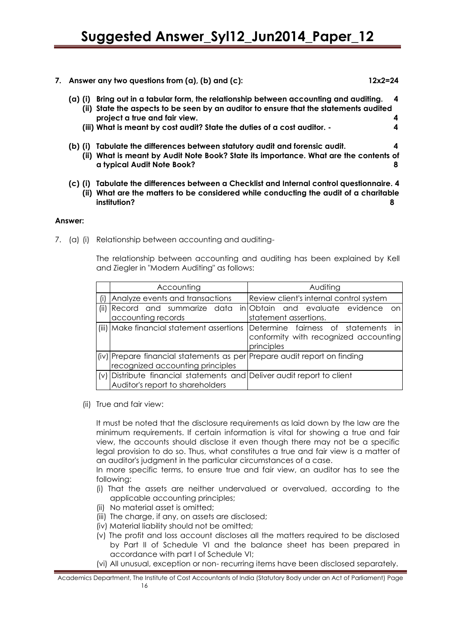| Answer any two questions from (a), (b) and (c):                                                                                                                                    | 12x2=24 |
|------------------------------------------------------------------------------------------------------------------------------------------------------------------------------------|---------|
| Bring out in a tabular form, the relationship between accounting and auditing.<br>(a) (i)<br>(ii) State the aspects to be seen by an auditor to ensure that the statements audited |         |
| project a true and fair view.                                                                                                                                                      |         |
| (iii) What is meant by cost audit? State the duties of a cost auditor. -                                                                                                           |         |
| Tabulate the differences between statutory audit and forensic audit.<br>(b) (i)                                                                                                    |         |
| What is meant by Audit Note Book? State its importance. What are the contents of<br>(ii)                                                                                           |         |
| a typical Audit Note Book?                                                                                                                                                         |         |
|                                                                                                                                                                                    |         |

**(c) (i) Tabulate the differences between a Checklist and Internal control questionnaire. 4 (ii) What are the matters to be considered while conducting the audit of a charitable institution? 8**

#### **Answer:**

7. (a) (i) Relationship between accounting and auditing-

The relationship between accounting and auditing has been explained by Kell and Ziegler in "Modern Auditing" as follows:

|      | Accounting                                                                                                   | Auditing                                                                                                                             |
|------|--------------------------------------------------------------------------------------------------------------|--------------------------------------------------------------------------------------------------------------------------------------|
|      | (i) Analyze events and transactions                                                                          | Review client's internal control system                                                                                              |
| (ii) | accounting records                                                                                           | Record and summarize data in Obtain and evaluate evidence on<br>statement assertions.                                                |
|      |                                                                                                              | (iii) Make financial statement assertions Determine fairness of statements in<br>conformity with recognized accounting<br>principles |
|      | (iv) Prepare financial statements as per Prepare audit report on finding<br>recognized accounting principles |                                                                                                                                      |
|      | (v) Distribute financial statements and Deliver audit report to client<br>Auditor's report to shareholders   |                                                                                                                                      |

(ii) True and fair view:

It must be noted that the disclosure requirements as laid down by the law are the minimum requirements. If certain information is vital for showing a true and fair view, the accounts should disclose it even though there may not be a specific legal provision to do so. Thus, what constitutes a true and fair view is a matter of an auditor's judgment in the particular circumstances of a case.

In more specific terms, to ensure true and fair view, an auditor has to see the following:

- (i) That the assets are neither undervalued or overvalued, according to the applicable accounting principles;
- (ii) No material asset is omitted;
- (iii) The charge, if any, on assets are disclosed;
- (iv) Material liability should not be omitted;
- (v) The profit and loss account discloses all the matters required to be disclosed by Part II of Schedule VI and the balance sheet has been prepared in accordance with part I of Schedule VI;
- (vi) All unusual, exception or non- recurring items have been disclosed separately.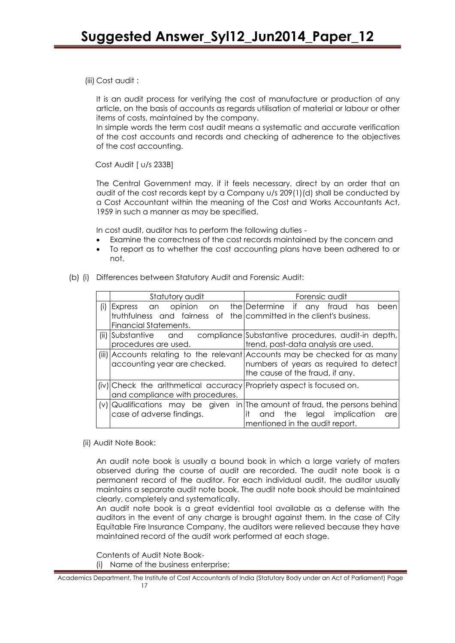(iii) Cost audit :

It is an audit process for verifying the cost of manufacture or production of any article, on the basis of accounts as regards utilisation of material or labour or other items of costs, maintained by the company.

In simple words the term cost audit means a systematic and accurate verification of the cost accounts and records and checking of adherence to the objectives of the cost accounting.

Cost Audit [ u/s 233B]

The Central Government may, if it feels necessary, direct by an order that an audit of the cost records kept by a Company u/s 209(1)(d) shall be conducted by a Cost Accountant within the meaning of the Cost and Works Accountants Act, 1959 in such a manner as may be specified.

In cost audit, auditor has to perform the following duties -

- Examine the correctness of the cost records maintained by the concern and
- To report as to whether the cost accounting plans have been adhered to or not.
- (b) (i) Differences between Statutory Audit and Forensic Audit:

|     | Statutory audit                                                                                                                  | Forensic audit                                                                                                                                                  |
|-----|----------------------------------------------------------------------------------------------------------------------------------|-----------------------------------------------------------------------------------------------------------------------------------------------------------------|
| (i) | Express an opinion<br>on<br>truthfulness and fairness of the committed in the client's business.<br><b>Financial Statements.</b> | the Determine if any<br>fraud has<br>been                                                                                                                       |
|     | (ii) Substantive and<br>procedures are used.                                                                                     | compliance Substantive procedures, audit-in depth,<br>trend, past-data analysis are used.                                                                       |
|     | accounting year are checked.                                                                                                     | (iii) Accounts relating to the relevant Accounts may be checked for as many<br>numbers of years as required to detect<br>the cause of the fraud, if any.        |
|     | (iv) Check the arithmetical accuracy Propriety aspect is focused on.<br>and compliance with procedures.                          |                                                                                                                                                                 |
|     | case of adverse findings.                                                                                                        | (v) Qualifications may be given in The amount of fraud, the persons behind<br>it<br>implication<br>the<br>legal<br>and<br>are<br>mentioned in the audit report. |

(ii) Audit Note Book:

An audit note book is usually a bound book in which a large variety of maters observed during the course of audit are recorded. The audit note book is a permanent record of the auditor. For each individual audit, the auditor usually maintains a separate audit note book. The audit note book should be maintained clearly, completely and systematically.

An audit note book is a great evidential tool available as a defense with the auditors in the event of any charge is brought against them. In the case of City Equitable Fire Insurance Company, the auditors were relieved because they have maintained record of the audit work performed at each stage.

Contents of Audit Note Book-

(i) Name of the business enterprise;

Academics Department, The Institute of Cost Accountants of India (Statutory Body under an Act of Parliament) Page 17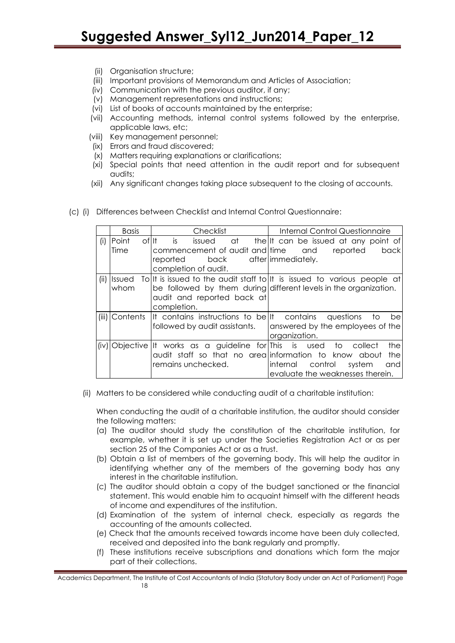- (ii) Organisation structure;
- (iii) Important provisions of Memorandum and Articles of Association;
- (iv) Communication with the previous auditor, if any;
- (v) Management representations and instructions;
- (vi) List of books of accounts maintained by the enterprise;
- (vii) Accounting methods, internal control systems followed by the enterprise, applicable laws, etc;
- (viii) Key management personnel;
- (ix) Errors and fraud discovered;
- (x) Matters requiring explanations or clarifications;
- (xi) Special points that need attention in the audit report and for subsequent audits;
- (xii) Any significant changes taking place subsequent to the closing of accounts.

|            | <b>Basis</b>           | Checklist                                                                                                                                | Internal Control Questionnaire                                                                                                              |
|------------|------------------------|------------------------------------------------------------------------------------------------------------------------------------------|---------------------------------------------------------------------------------------------------------------------------------------------|
| (i)        | of It<br>Point<br>Time | is<br>issued<br>commencement of audit and time and<br>back<br>reported<br>completion of audit.                                           | at the It can be issued at any point of<br>reported<br>back<br>after immediately.                                                           |
| (ii)       | <b>Ilssued</b><br>whom | audit and reported back at<br>completion.                                                                                                | To It is issued to the audit staff to It is issued to various people at<br>be followed by them during different levels in the organization. |
|            | (iii) Contents         | It contains instructions to bellt contains questions to<br>followed by audit assistants.                                                 | bel<br>answered by the employees of the<br>organization.                                                                                    |
| $(i \vee)$ |                        | Objective   It works as a guideline for   This is used to<br>audit staff so that no arealinformation to know about<br>remains unchecked. | the<br>collect<br>the<br>internal<br>control<br>and<br>system<br>evaluate the weaknesses therein.                                           |

(c) (i) Differences between Checklist and Internal Control Questionnaire:

(ii) Matters to be considered while conducting audit of a charitable institution:

When conducting the audit of a charitable institution, the auditor should consider the following matters:

- (a) The auditor should study the constitution of the charitable institution, for example, whether it is set up under the Societies Registration Act or as per section 25 of the Companies Act or as a trust.
- (b) Obtain a list of members of the governing body. This will help the auditor in identifying whether any of the members of the governing body has any interest in the charitable institution.
- (c) The auditor should obtain a copy of the budget sanctioned or the financial statement. This would enable him to acquaint himself with the different heads of income and expenditures of the institution.
- (d) Examination of the system of internal check, especially as regards the accounting of the amounts collected.
- (e) Check that the amounts received towards income have been duly collected, received and deposited into the bank regularly and promptly.
- (f) These institutions receive subscriptions and donations which form the major part of their collections.

Academics Department, The Institute of Cost Accountants of India (Statutory Body under an Act of Parliament) Page 18